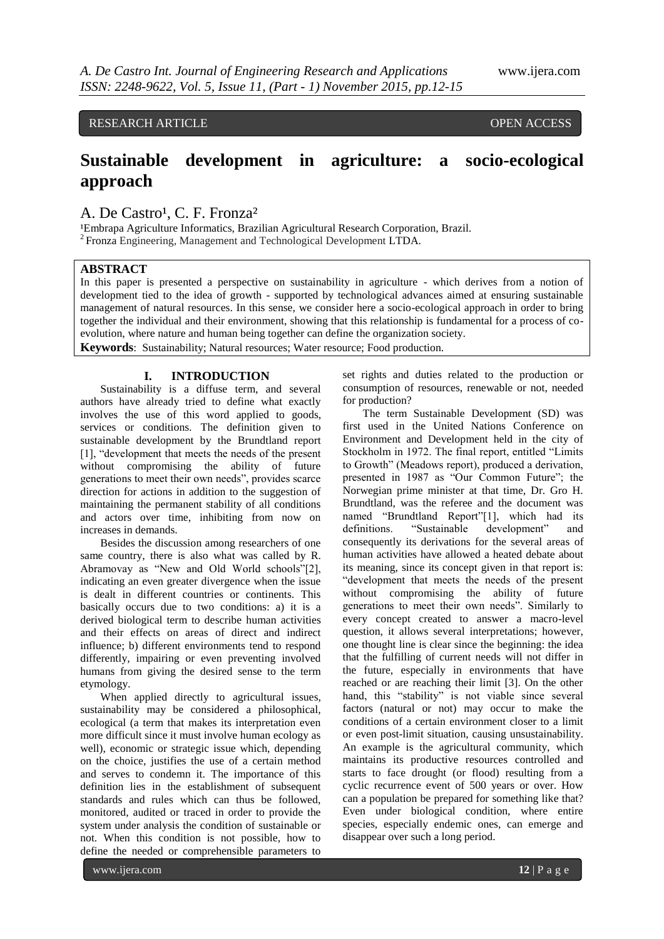## RESEARCH ARTICLE **CONSERVERS** OPEN ACCESS

# **Sustainable development in agriculture: a socio-ecological approach**

# A. De Castro<sup>1</sup>, C. F. Fronza<sup>2</sup>

<sup>1</sup>Embrapa Agriculture Informatics, Brazilian Agricultural Research Corporation, Brazil. <sup>2</sup>Fronza Engineering, Management and Technological Development LTDA.

#### **ABSTRACT**

In this paper is presented a perspective on sustainability in agriculture - which derives from a notion of development tied to the idea of growth - supported by technological advances aimed at ensuring sustainable management of natural resources. In this sense, we consider here a socio-ecological approach in order to bring together the individual and their environment, showing that this relationship is fundamental for a process of coevolution, where nature and human being together can define the organization society. **Keywords**: Sustainability; Natural resources; Water resource; Food production.

#### **I. INTRODUCTION**

Sustainability is a diffuse term, and several authors have already tried to define what exactly involves the use of this word applied to goods, services or conditions. The definition given to sustainable development by the Brundtland report [1], "development that meets the needs of the present without compromising the ability of future generations to meet their own needs", provides scarce direction for actions in addition to the suggestion of maintaining the permanent stability of all conditions and actors over time, inhibiting from now on increases in demands.

Besides the discussion among researchers of one same country, there is also what was called by R. Abramovay as "New and Old World schools"[2], indicating an even greater divergence when the issue is dealt in different countries or continents. This basically occurs due to two conditions: a) it is a derived biological term to describe human activities and their effects on areas of direct and indirect influence; b) different environments tend to respond differently, impairing or even preventing involved humans from giving the desired sense to the term etymology.

When applied directly to agricultural issues, sustainability may be considered a philosophical, ecological (a term that makes its interpretation even more difficult since it must involve human ecology as well), economic or strategic issue which, depending on the choice, justifies the use of a certain method and serves to condemn it. The importance of this definition lies in the establishment of subsequent standards and rules which can thus be followed, monitored, audited or traced in order to provide the system under analysis the condition of sustainable or not. When this condition is not possible, how to define the needed or comprehensible parameters to

set rights and duties related to the production or consumption of resources, renewable or not, needed for production?

The term Sustainable Development (SD) was first used in the United Nations Conference on Environment and Development held in the city of Stockholm in 1972. The final report, entitled "Limits to Growth" (Meadows report), produced a derivation, presented in 1987 as "Our Common Future"; the Norwegian prime minister at that time, Dr. Gro H. Brundtland, was the referee and the document was named "Brundtland Report"[1], which had its definitions. "Sustainable development" and consequently its derivations for the several areas of human activities have allowed a heated debate about its meaning, since its concept given in that report is: "development that meets the needs of the present without compromising the ability of future generations to meet their own needs". Similarly to every concept created to answer a macro-level question, it allows several interpretations; however, one thought line is clear since the beginning: the idea that the fulfilling of current needs will not differ in the future, especially in environments that have reached or are reaching their limit [3]. On the other hand, this "stability" is not viable since several factors (natural or not) may occur to make the conditions of a certain environment closer to a limit or even post-limit situation, causing unsustainability. An example is the agricultural community, which maintains its productive resources controlled and starts to face drought (or flood) resulting from a cyclic recurrence event of 500 years or over. How can a population be prepared for something like that? Even under biological condition, where entire species, especially endemic ones, can emerge and disappear over such a long period.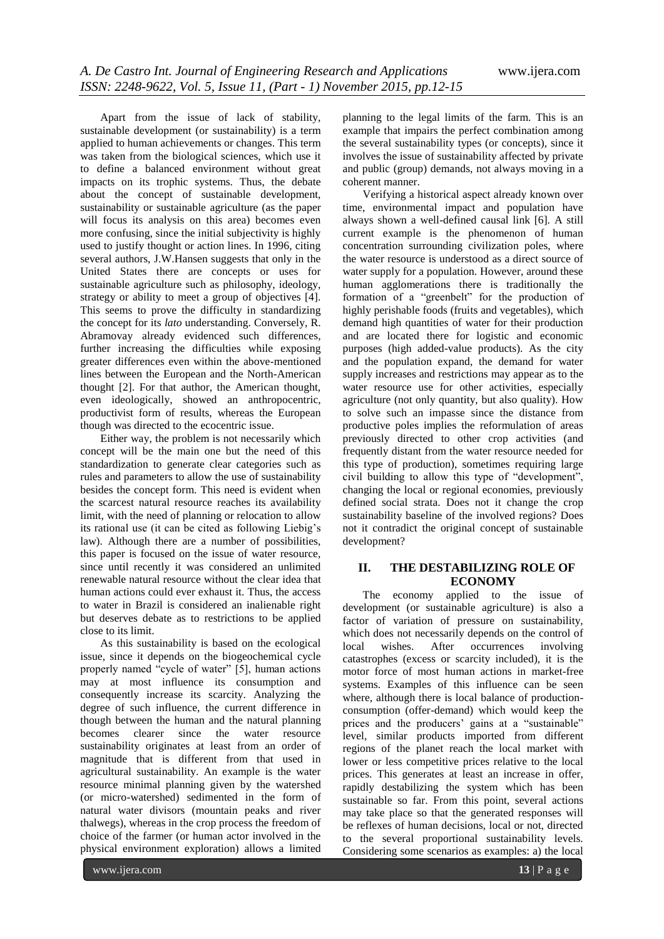Apart from the issue of lack of stability, sustainable development (or sustainability) is a term applied to human achievements or changes. This term was taken from the biological sciences, which use it to define a balanced environment without great impacts on its trophic systems. Thus, the debate about the concept of sustainable development, sustainability or sustainable agriculture (as the paper will focus its analysis on this area) becomes even more confusing, since the initial subjectivity is highly used to justify thought or action lines. In 1996, citing several authors, J.W.Hansen suggests that only in the United States there are concepts or uses for sustainable agriculture such as philosophy, ideology, strategy or ability to meet a group of objectives [4]. This seems to prove the difficulty in standardizing the concept for its *lato* understanding. Conversely, R. Abramovay already evidenced such differences, further increasing the difficulties while exposing greater differences even within the above-mentioned lines between the European and the North-American thought [2]. For that author, the American thought, even ideologically, showed an anthropocentric, productivist form of results, whereas the European though was directed to the ecocentric issue.

Either way, the problem is not necessarily which concept will be the main one but the need of this standardization to generate clear categories such as rules and parameters to allow the use of sustainability besides the concept form. This need is evident when the scarcest natural resource reaches its availability limit, with the need of planning or relocation to allow its rational use (it can be cited as following Liebig's law). Although there are a number of possibilities, this paper is focused on the issue of water resource, since until recently it was considered an unlimited renewable natural resource without the clear idea that human actions could ever exhaust it. Thus, the access to water in Brazil is considered an inalienable right but deserves debate as to restrictions to be applied close to its limit.

As this sustainability is based on the ecological issue, since it depends on the biogeochemical cycle properly named "cycle of water" [5], human actions may at most influence its consumption and consequently increase its scarcity. Analyzing the degree of such influence, the current difference in though between the human and the natural planning becomes clearer since the water resource sustainability originates at least from an order of magnitude that is different from that used in agricultural sustainability. An example is the water resource minimal planning given by the watershed (or micro-watershed) sedimented in the form of natural water divisors (mountain peaks and river thalwegs), whereas in the crop process the freedom of choice of the farmer (or human actor involved in the physical environment exploration) allows a limited

planning to the legal limits of the farm. This is an example that impairs the perfect combination among the several sustainability types (or concepts), since it involves the issue of sustainability affected by private and public (group) demands, not always moving in a coherent manner.

Verifying a historical aspect already known over time, environmental impact and population have always shown a well-defined causal link [6]. A still current example is the phenomenon of human concentration surrounding civilization poles, where the water resource is understood as a direct source of water supply for a population. However, around these human agglomerations there is traditionally the formation of a "greenbelt" for the production of highly perishable foods (fruits and vegetables), which demand high quantities of water for their production and are located there for logistic and economic purposes (high added-value products). As the city and the population expand, the demand for water supply increases and restrictions may appear as to the water resource use for other activities, especially agriculture (not only quantity, but also quality). How to solve such an impasse since the distance from productive poles implies the reformulation of areas previously directed to other crop activities (and frequently distant from the water resource needed for this type of production), sometimes requiring large civil building to allow this type of "development", changing the local or regional economies, previously defined social strata. Does not it change the crop sustainability baseline of the involved regions? Does not it contradict the original concept of sustainable development?

### **II. THE DESTABILIZING ROLE OF ECONOMY**

The economy applied to the issue of development (or sustainable agriculture) is also a factor of variation of pressure on sustainability, which does not necessarily depends on the control of local wishes. After occurrences involving local wishes. After occurrences involving catastrophes (excess or scarcity included), it is the motor force of most human actions in market-free systems. Examples of this influence can be seen where, although there is local balance of productionconsumption (offer-demand) which would keep the prices and the producers' gains at a "sustainable" level, similar products imported from different regions of the planet reach the local market with lower or less competitive prices relative to the local prices. This generates at least an increase in offer, rapidly destabilizing the system which has been sustainable so far. From this point, several actions may take place so that the generated responses will be reflexes of human decisions, local or not, directed to the several proportional sustainability levels. Considering some scenarios as examples: a) the local

www.ijera.com **13** | P a g e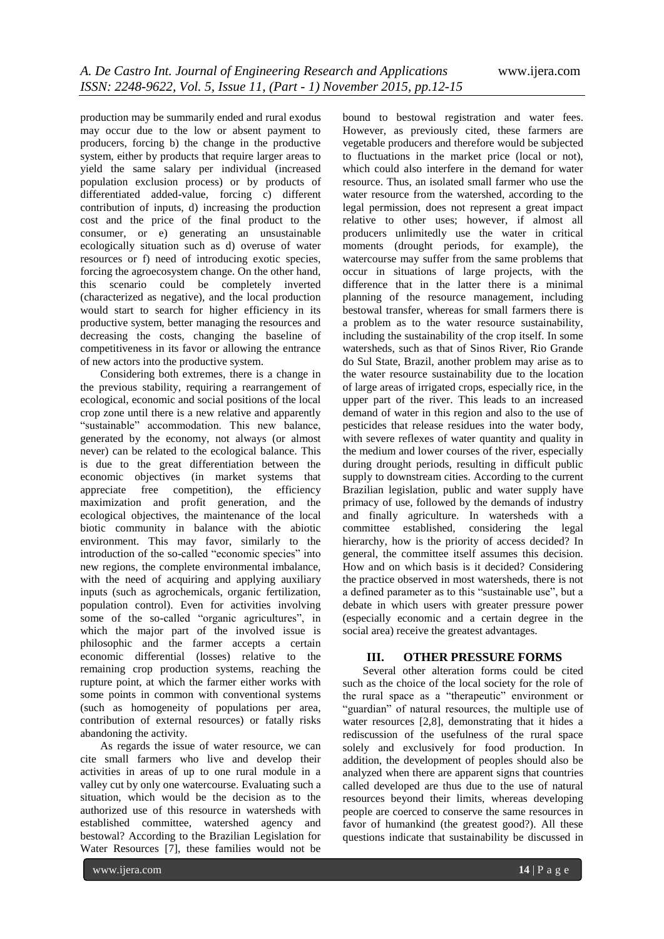production may be summarily ended and rural exodus may occur due to the low or absent payment to producers, forcing b) the change in the productive system, either by products that require larger areas to yield the same salary per individual (increased population exclusion process) or by products of differentiated added-value, forcing c) different contribution of inputs, d) increasing the production cost and the price of the final product to the consumer, or e) generating an unsustainable ecologically situation such as d) overuse of water resources or f) need of introducing exotic species, forcing the agroecosystem change. On the other hand, this scenario could be completely inverted (characterized as negative), and the local production would start to search for higher efficiency in its productive system, better managing the resources and decreasing the costs, changing the baseline of competitiveness in its favor or allowing the entrance of new actors into the productive system.

Considering both extremes, there is a change in the previous stability, requiring a rearrangement of ecological, economic and social positions of the local crop zone until there is a new relative and apparently "sustainable" accommodation. This new balance, generated by the economy, not always (or almost never) can be related to the ecological balance. This is due to the great differentiation between the economic objectives (in market systems that appreciate free competition), the efficiency maximization and profit generation, and the ecological objectives, the maintenance of the local biotic community in balance with the abiotic environment. This may favor, similarly to the introduction of the so-called "economic species" into new regions, the complete environmental imbalance, with the need of acquiring and applying auxiliary inputs (such as agrochemicals, organic fertilization, population control). Even for activities involving some of the so-called "organic agricultures", in which the major part of the involved issue is philosophic and the farmer accepts a certain economic differential (losses) relative to the remaining crop production systems, reaching the rupture point, at which the farmer either works with some points in common with conventional systems (such as homogeneity of populations per area, contribution of external resources) or fatally risks abandoning the activity.

As regards the issue of water resource, we can cite small farmers who live and develop their activities in areas of up to one rural module in a valley cut by only one watercourse. Evaluating such a situation, which would be the decision as to the authorized use of this resource in watersheds with established committee, watershed agency and bestowal? According to the Brazilian Legislation for Water Resources [7], these families would not be

bound to bestowal registration and water fees. However, as previously cited, these farmers are vegetable producers and therefore would be subjected to fluctuations in the market price (local or not), which could also interfere in the demand for water resource. Thus, an isolated small farmer who use the water resource from the watershed, according to the legal permission, does not represent a great impact relative to other uses; however, if almost all producers unlimitedly use the water in critical moments (drought periods, for example), the watercourse may suffer from the same problems that occur in situations of large projects, with the difference that in the latter there is a minimal planning of the resource management, including bestowal transfer, whereas for small farmers there is a problem as to the water resource sustainability, including the sustainability of the crop itself. In some watersheds, such as that of Sinos River, Rio Grande do Sul State, Brazil, another problem may arise as to the water resource sustainability due to the location of large areas of irrigated crops, especially rice, in the upper part of the river. This leads to an increased demand of water in this region and also to the use of pesticides that release residues into the water body, with severe reflexes of water quantity and quality in the medium and lower courses of the river, especially during drought periods, resulting in difficult public supply to downstream cities. According to the current Brazilian legislation, public and water supply have primacy of use, followed by the demands of industry and finally agriculture. In watersheds with a committee established, considering the legal hierarchy, how is the priority of access decided? In general, the committee itself assumes this decision. How and on which basis is it decided? Considering the practice observed in most watersheds, there is not a defined parameter as to this "sustainable use", but a debate in which users with greater pressure power (especially economic and a certain degree in the social area) receive the greatest advantages.

#### **III. OTHER PRESSURE FORMS**

Several other alteration forms could be cited such as the choice of the local society for the role of the rural space as a "therapeutic" environment or "guardian" of natural resources, the multiple use of water resources [2,8], demonstrating that it hides a rediscussion of the usefulness of the rural space solely and exclusively for food production. In addition, the development of peoples should also be analyzed when there are apparent signs that countries called developed are thus due to the use of natural resources beyond their limits, whereas developing people are coerced to conserve the same resources in favor of humankind (the greatest good?). All these questions indicate that sustainability be discussed in